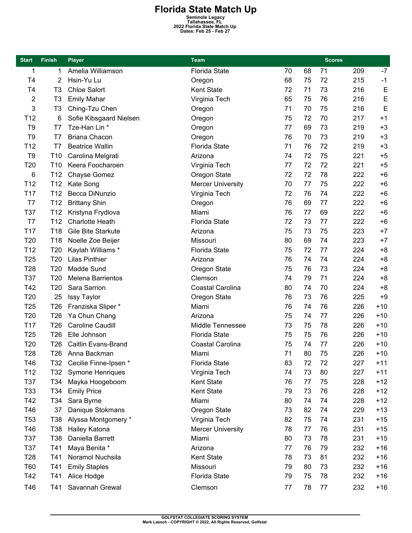**Florida State Match Up**<br>
Seminole Legacy<br>
Tallahassee, FL<br>
2022 Florida State Match Up<br>
Dates: Feb 25 - Feb 27

| <b>Start</b>    | <b>Finish</b>   | <b>Player</b>             | <b>Team</b>              |    |    | <b>Scores</b> |     |       |
|-----------------|-----------------|---------------------------|--------------------------|----|----|---------------|-----|-------|
| 1               | 1               | Amelia Williamson         | <b>Florida State</b>     | 70 | 68 | 71            | 209 | $-7$  |
| T4              | $\overline{2}$  | Hsin-Yu Lu                | Oregon                   | 68 | 75 | 72            | 215 | $-1$  |
| T4              | T <sub>3</sub>  | <b>Chloe Salort</b>       | Kent State               | 72 | 71 | 73            | 216 | E     |
| 2               | T <sub>3</sub>  | <b>Emily Mahar</b>        | Virginia Tech            | 65 | 75 | 76            | 216 | E     |
| 3               | T <sub>3</sub>  | Ching-Tzu Chen            | Oregon                   | 71 | 70 | 75            | 216 | E     |
| T12             | 6               | Sofie Kibsgaard Nielsen   | Oregon                   | 75 | 72 | 70            | 217 | $+1$  |
| T <sub>9</sub>  | T7              | Tze-Han Lin *             | Oregon                   | 77 | 69 | 73            | 219 | $+3$  |
| T <sub>9</sub>  | T7              | <b>Briana Chacon</b>      | Oregon                   | 76 | 70 | 73            | 219 | $+3$  |
| T <sub>12</sub> | T7              | <b>Beatrice Wallin</b>    | <b>Florida State</b>     | 71 | 76 | 72            | 219 | $+3$  |
| T <sub>9</sub>  | T <sub>10</sub> | Carolina Melgrati         | Arizona                  | 74 | 72 | 75            | 221 | $+5$  |
| T20             | T <sub>10</sub> | Keera Foocharoen          | Virginia Tech            | 77 | 72 | 72            | 221 | $+5$  |
| 6               | T <sub>12</sub> | Chayse Gomez              | Oregon State             | 72 | 72 | 78            | 222 | $+6$  |
| T12             | T <sub>12</sub> | Kate Song                 | <b>Mercer University</b> | 70 | 77 | 75            | 222 | $+6$  |
| T17             | T <sub>12</sub> | Becca DiNunzio            | Virginia Tech            | 72 | 76 | 74            | 222 | $+6$  |
| T7              | T <sub>12</sub> | <b>Brittany Shin</b>      | Oregon                   | 76 | 69 | 77            | 222 | $+6$  |
| T37             | T <sub>12</sub> | Kristyna Frydlova         | Miami                    | 76 | 77 | 69            | 222 | $+6$  |
| T7              | T <sub>12</sub> | <b>Charlotte Heath</b>    | <b>Florida State</b>     | 72 | 73 | 77            | 222 | $+6$  |
| T <sub>17</sub> | T18             | Gile Bite Starkute        | Arizona                  | 75 | 73 | 75            | 223 | $+7$  |
| T20             | T <sub>18</sub> | Noelle Zoe Beijer         | Missouri                 | 80 | 69 | 74            | 223 | $+7$  |
| T <sub>12</sub> | T20             | Kaylah Williams *         | <b>Florida State</b>     | 75 | 72 | 77            | 224 | $+8$  |
| T <sub>25</sub> | T <sub>20</sub> | <b>Lilas Pinthier</b>     | Arizona                  | 76 | 74 | 74            | 224 | $+8$  |
| T <sub>28</sub> | T20             | Madde Sund                | Oregon State             | 75 | 76 | 73            | 224 | $+8$  |
| T37             | T20             | <b>Melena Barrientos</b>  | Clemson                  | 74 | 79 | 71            | 224 | $+8$  |
| T42             | T <sub>20</sub> | Sara Sarrion              | Coastal Carolina         | 80 | 74 | 70            | 224 | $+8$  |
| T20             | 25              | <b>Issy Taylor</b>        | Oregon State             | 76 | 73 | 76            | 225 | $+9$  |
| T <sub>25</sub> | T <sub>26</sub> | Franziska Sliper *        | Miami                    | 76 | 74 | 76            | 226 | $+10$ |
| T <sub>20</sub> | T <sub>26</sub> | Ya Chun Chang             | Arizona                  | 75 | 74 | 77            | 226 | $+10$ |
| T <sub>17</sub> | T <sub>26</sub> | <b>Caroline Caudill</b>   | Middle Tennessee         | 73 | 75 | 78            | 226 | $+10$ |
| T <sub>25</sub> | T <sub>26</sub> | Elle Johnson              | Florida State            | 75 | 75 | 76            | 226 | $+10$ |
| T20             | T26             | Caitlin Evans-Brand       | Coastal Carolina         | 75 | 74 | 77            | 226 | $+10$ |
| T <sub>28</sub> | T26             | Anna Backman              | Miami                    | 71 | 80 | 75            | 226 | $+10$ |
| T46             |                 | T32 Cecilie Finne-Ipsen * | <b>Florida State</b>     | 83 | 72 | 72            | 227 | $+11$ |
| T <sub>12</sub> | T32             | <b>Symone Henriques</b>   | Virginia Tech            | 74 | 73 | 80            | 227 | $+11$ |
| T37             | T34             | Mayka Hoogeboom           | Kent State               | 76 | 77 | 75            | 228 | $+12$ |
| T33             | T34             | <b>Emily Price</b>        | Kent State               | 79 | 73 | 76            | 228 | $+12$ |
| T42             | T34             | Sara Byrne                | Miami                    | 80 | 74 | 74            | 228 | $+12$ |
| T46             | 37              | Danique Stokmans          | Oregon State             | 73 | 82 | 74            | 229 | $+13$ |
| T <sub>53</sub> | T38             | Alyssa Montgomery *       | Virginia Tech            | 82 | 75 | 74            | 231 | $+15$ |
| T46             | T38             | Hailey Katona             | <b>Mercer University</b> | 78 | 77 | 76            | 231 | $+15$ |
| T37             | T38             | Daniella Barrett          | Miami                    | 80 | 73 | 78            | 231 | $+15$ |
| T37             | T41             | Maya Benita *             | Arizona                  | 77 | 76 | 79            | 232 | $+16$ |
| T <sub>28</sub> | T41             | Noramol Nuchsila          | Kent State               | 78 | 73 | 81            | 232 | $+16$ |
| <b>T60</b>      | T41             | <b>Emily Staples</b>      | Missouri                 | 79 | 80 | 73            | 232 | $+16$ |
| T42             | T41             | Alice Hodge               | Florida State            | 79 | 75 | 78            | 232 | $+16$ |
| T46             | T41             | Savannah Grewal           | Clemson                  | 77 | 78 | 77            | 232 | $+16$ |